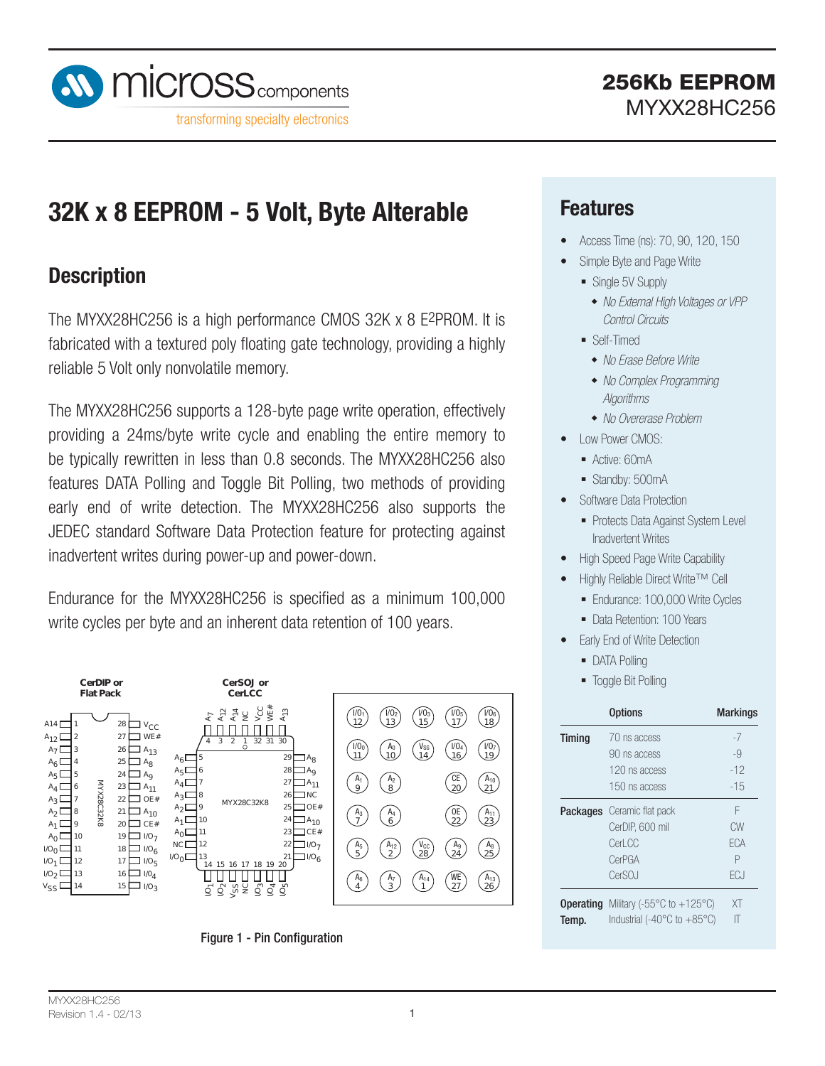

# **32K x 8 EEPROM - 5 Volt, Byte Alterable**

### **Description**

The MYXX28HC256 is a high performance CMOS 32K x 8 E2PROM. It is fabricated with a textured poly floating gate technology, providing a highly reliable 5 Volt only nonvolatile memory.

The MYXX28HC256 supports a 128-byte page write operation, effectively providing a 24ms/byte write cycle and enabling the entire memory to be typically rewritten in less than 0.8 seconds. The MYXX28HC256 also features DATA Polling and Toggle Bit Polling, two methods of providing early end of write detection. The MYXX28HC256 also supports the JEDEC standard Software Data Protection feature for protecting against inadvertent writes during power-up and power-down.

Endurance for the MYXX28HC256 is specified as a minimum 100,000 write cycles per byte and an inherent data retention of 100 years.



Figure 1 - Pin Configuration

### **Features**

- Access Time (ns): 70, 90, 120, 150
- Simple Byte and Page Write
	- Single 5V Supply
		- *No External High Voltages or VPP Control Circuits*
	- **Self-Timed** 
		- *No Erase Before Write*
		- *No Complex Programming Algorithms*
		- *No Overerase Problem*
- Low Power CMOS:
	- Active: 60mA
	- Standby: 500mA
- Software Data Protection
	- Protects Data Against System Level Inadvertent Writes
- High Speed Page Write Capability
- Highly Reliable Direct Write™ Cell
	- Endurance: 100,000 Write Cycles
- Data Retention: 100 Years
- **Early End of Write Detection** 
	- **DATA Polling**
	- **Toggle Bit Polling**

|               | <b>Options</b>                                    | <b>Markings</b> |
|---------------|---------------------------------------------------|-----------------|
| <b>Timing</b> | 70 ns access                                      | -7              |
|               | 90 ns access                                      | -9              |
|               | 120 ns access                                     | $-12$           |
|               | 150 ns access                                     | -15             |
|               | <b>Packages</b> Ceramic flat pack                 | F               |
|               | CerDIP, 600 mil                                   | CW              |
|               | Cerl CC                                           | FCA             |
|               | CerPGA                                            | Р               |
|               | CerSOJ                                            | FC.I            |
| Operating     | Military (-55 $\degree$ C to +125 $\degree$ C)    | XT              |
| Temp.         | Industrial (-40 $^{\circ}$ C to +85 $^{\circ}$ C) |                 |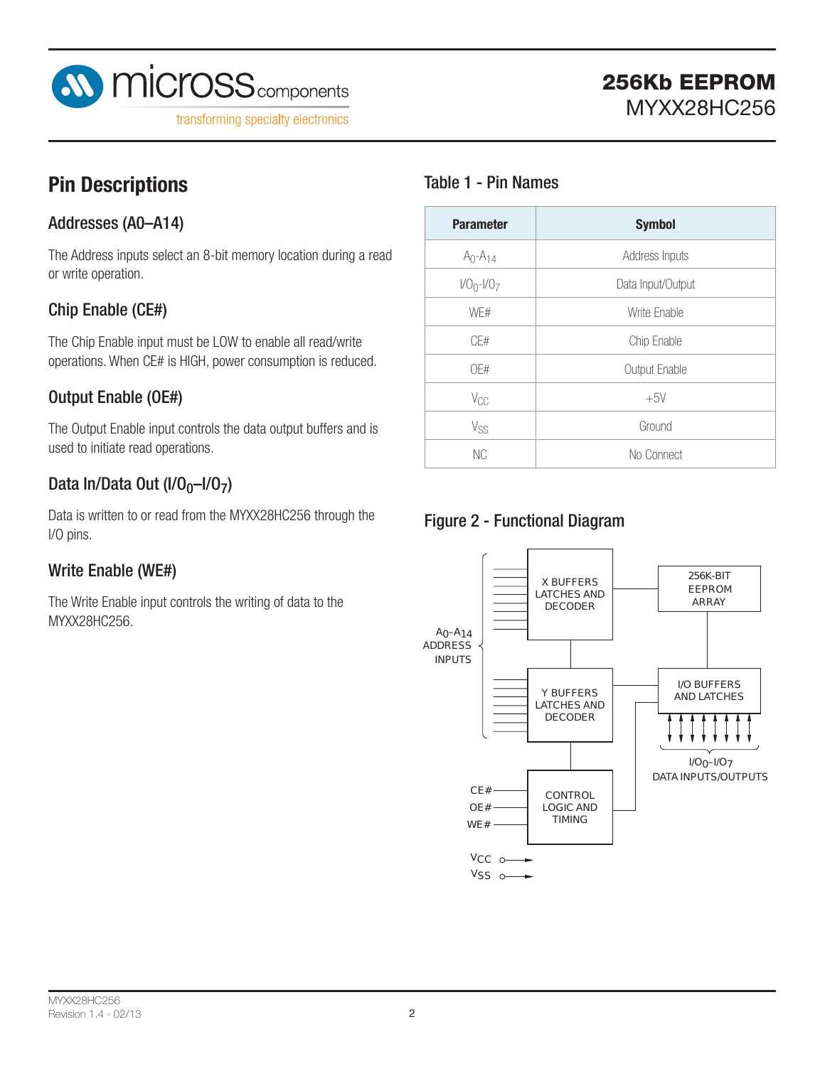

# **Pin Descriptions**

### Addresses (A0–A14)

The Address inputs select an 8-bit memory location during a read or write operation.

### Chip Enable (CE#)

The Chip Enable input must be LOW to enable all read/write operations. When CE# is HIGH, power consumption is reduced.

### Output Enable (OE#)

The Output Enable input controls the data output buffers and is used to initiate read operations.

### Data In/Data Out  $(I/O<sub>0</sub>-I/O<sub>7</sub>)$

Data is written to or read from the MYXX28HC256 through the I/O pins.

### Write Enable (WE#)

The Write Enable input controls the writing of data to the MYXX28HC256.

### Table 1 - Pin Names

| <b>Parameter</b> | <b>Symbol</b>     |
|------------------|-------------------|
| $A_0 - A_{14}$   | Address Inputs    |
| $1/00 - 1/07$    | Data Input/Output |
| WF#              | Write Enable      |
| CF#              | Chip Enable       |
| OF#              | Output Enable     |
| $V_{CC}$         | $+5V$             |
| $V_{SS}$         | Ground            |
| <b>NC</b>        | No Connect        |

### Figure 2 - Functional Diagram

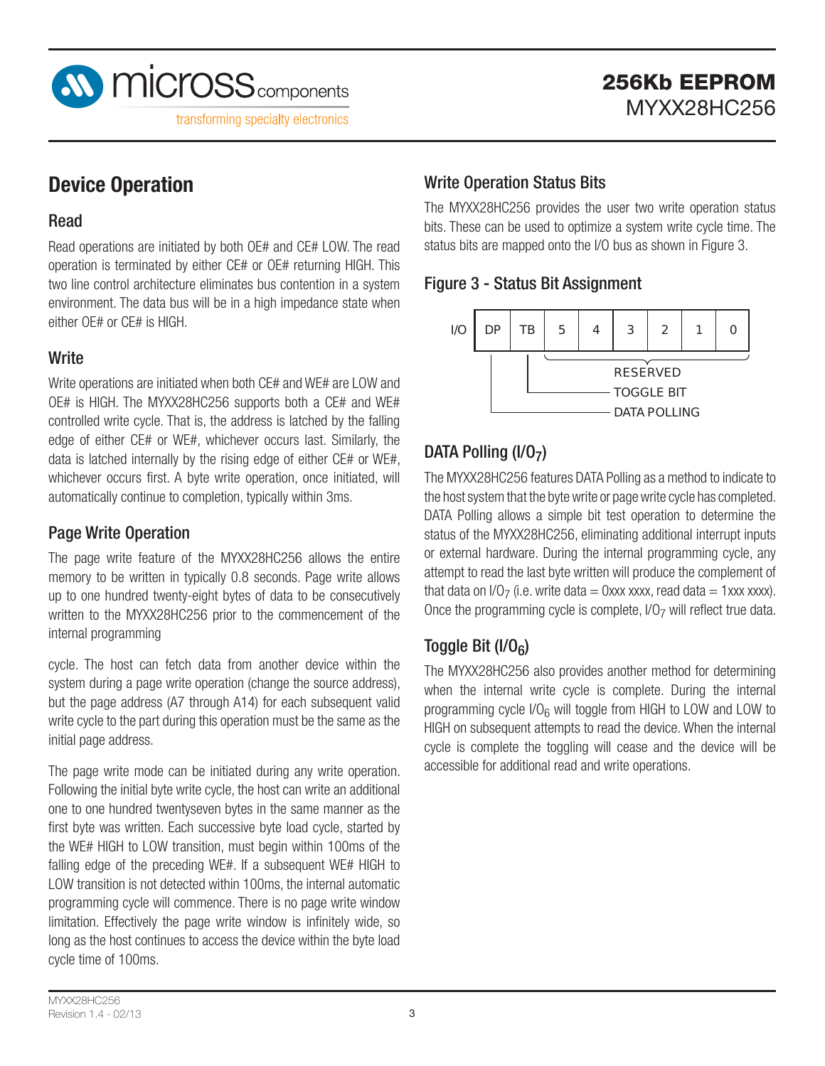

## **Device Operation**

#### Read

Read operations are initiated by both OE# and CE# LOW. The read operation is terminated by either CE# or OE# returning HIGH. This two line control architecture eliminates bus contention in a system C environment. The data bus will be in a high impedance state when either OE# or CE# is HIGH.

#### **Write**

Write operations are initiated when both CE# and WE# are LOW and OE# is HIGH. The MYXX28HC256 supports both a CE# and WE# controlled write cycle. That is, the address is latched by the falling edge of either CE# or WE#, whichever occurs last. Similarly, the data is latched internally by the rising edge of either CE# or WE#, whichever occurs first. A byte write operation, once initiated, will automatically continue to completion, typically within 3ms.

#### Page Write Operation

The page write feature of the MYXX28HC256 allows the entire memory to be written in typically 0.8 seconds. Page write allows up to one hundred twenty-eight bytes of data to be consecutively written to the MYXX28HC256 prior to the commencement of the internal programming

cycle. The host can fetch data from another device within the system during a page write operation (change the source address), but the page address (A7 through A14) for each subsequent valid write cycle to the part during this operation must be the same as the initial page address.

The page write mode can be initiated during any write operation. Following the initial byte write cycle, the host can write an additional one to one hundred twentyseven bytes in the same manner as the first byte was written. Each successive byte load cycle, started by the WE# HIGH to LOW transition, must begin within 100ms of the falling edge of the preceding WE#. If a subsequent WE# HIGH to LOW transition is not detected within 100ms, the internal automatic programming cycle will commence. There is no page write window limitation. Effectively the page write window is infinitely wide, so long as the host continues to access the device within the byte load cycle time of 100ms.

### Write Operation Status Bits

The MYXX28HC256 provides the user two write operation status bits. These can be used to optimize a system write cycle time. The status bits are mapped onto the I/O bus as shown in Figure 3.

#### Figure 3 - Status Bit Assignment



### DATA Polling  $(I/O<sub>7</sub>)$

The MYXX28HC256 features DATA Polling as a method to indicate to the host system that the byte write or page write cycle has completed. DATA Polling allows a simple bit test operation to determine the status of the MYXX28HC256, eliminating additional interrupt inputs or external hardware. During the internal programming cycle, any attempt to read the last byte written will produce the complement of that data on  $1/O<sub>7</sub>$  (i.e. write data = 0xxx xxxx, read data = 1xxx xxxx). Once the programming cycle is complete,  $1/O<sub>7</sub>$  will reflect true data.

### Toggle Bit  $(I/O<sub>6</sub>)$

The MYXX28HC256 also provides another method for determining when the internal write cycle is complete. During the internal programming cycle  $1/O<sub>6</sub>$  will toggle from HIGH to LOW and LOW to HIGH on subsequent attempts to read the device. When the internal cycle is complete the toggling will cease and the device will be accessible for additional read and write operations.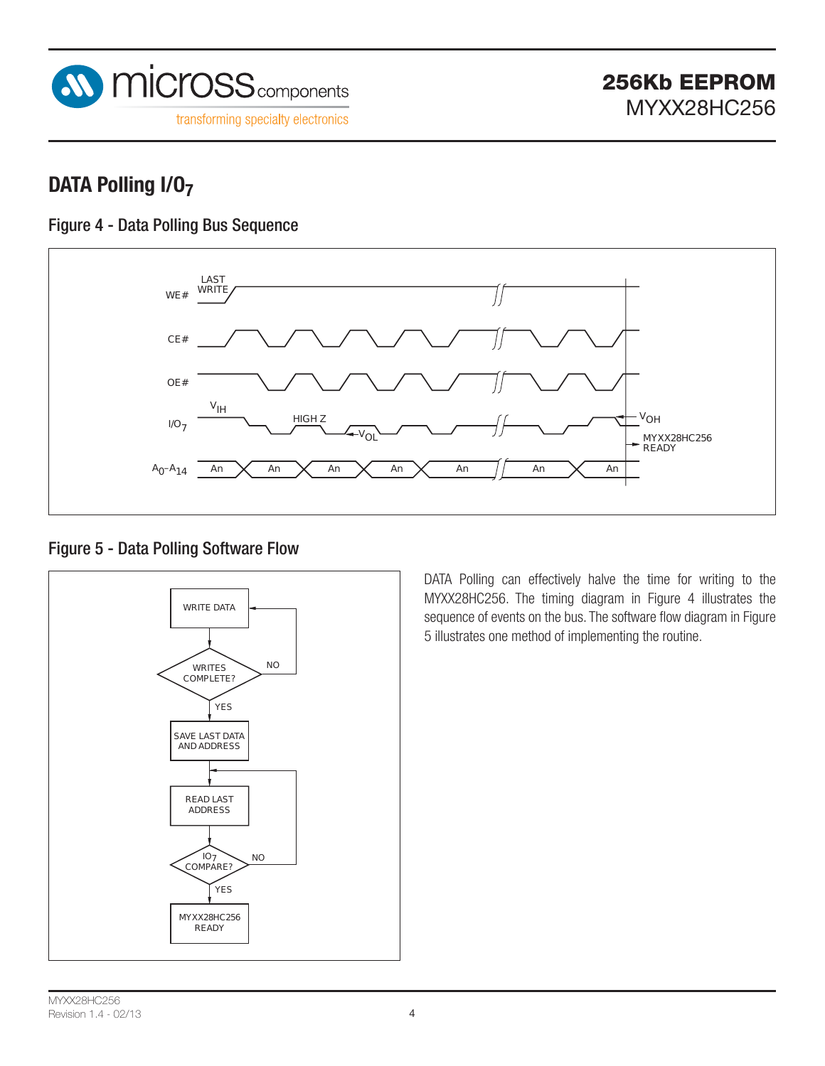

## **DATA Polling I/O7**

### Figure 4 - Data Polling Bus Sequence



#### Figure 5 - Data Polling Software Flow



DATA Polling can effectively halve the time for writing to the MYXX28HC256. The timing diagram in Figure 4 illustrates the sequence of events on the bus. The software flow diagram in Figure 5 illustrates one method of implementing the routine.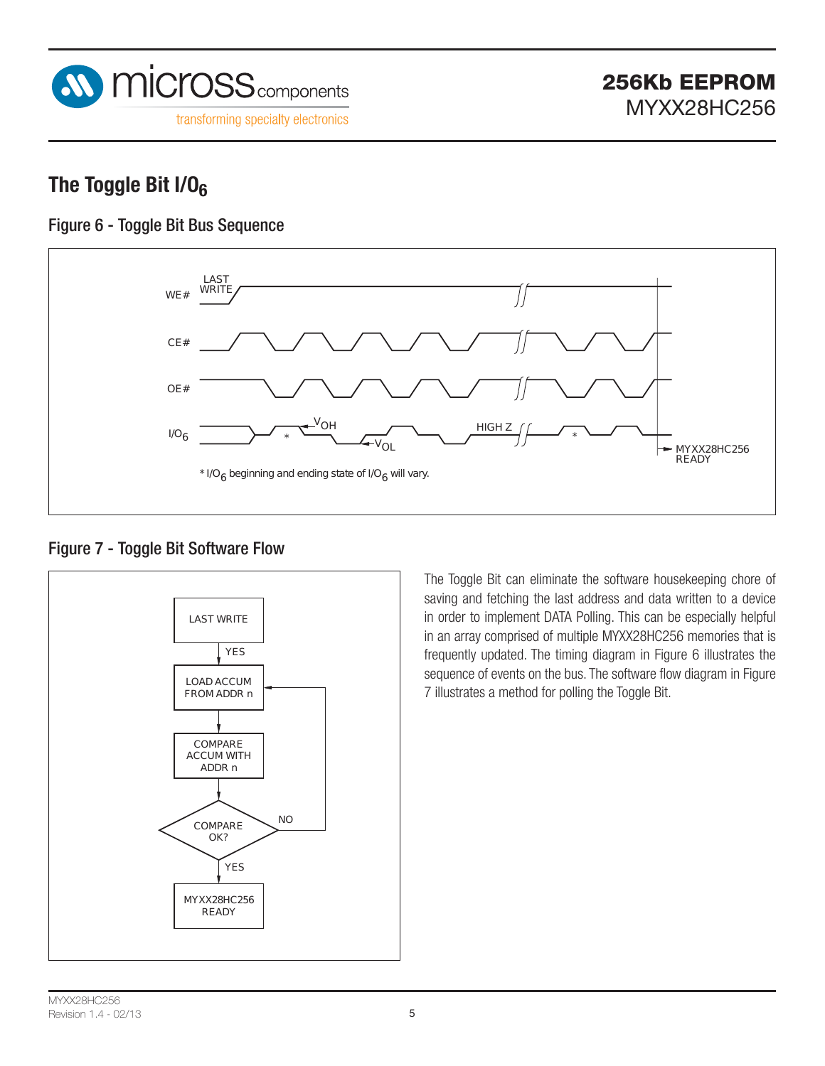

## **The Toggle Bit I/O6**

### Figure 6 - Toggle Bit Bus Sequence



#### Figure 7 - Toggle Bit Software Flow



The Toggle Bit can eliminate the software housekeeping chore of saving and fetching the last address and data written to a device in order to implement DATA Polling. This can be especially helpful in an array comprised of multiple MYXX28HC256 memories that is frequently updated. The timing diagram in Figure 6 illustrates the sequence of events on the bus. The software flow diagram in Figure 7 illustrates a method for polling the Toggle Bit.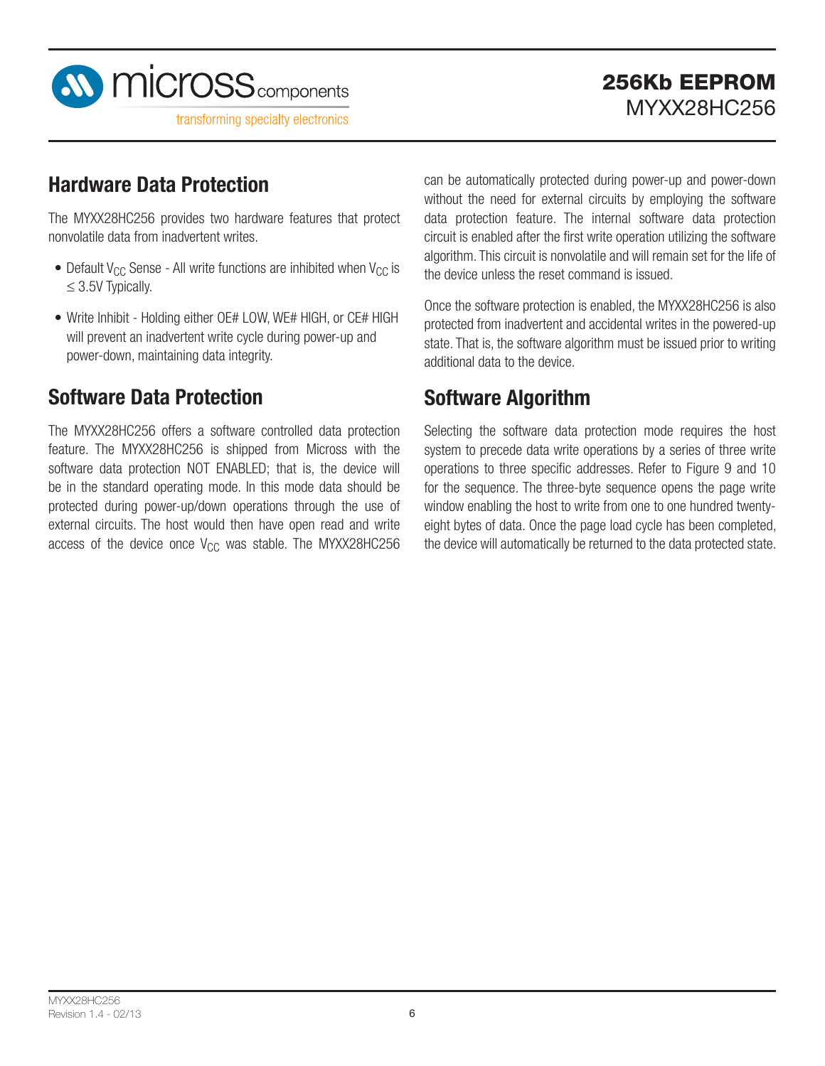

## **Hardware Data Protection**

The MYXX28HC256 provides two hardware features that protect nonvolatile data from inadvertent writes.

- Default  $V_{CC}$  Sense All write functions are inhibited when  $V_{CC}$  is  $\leq$  3.5V Typically.
- Write Inhibit Holding either OE# LOW, WE# HIGH, or CE# HIGH will prevent an inadvertent write cycle during power-up and power-down, maintaining data integrity.

## **Software Data Protection**

The MYXX28HC256 offers a software controlled data protection feature. The MYXX28HC256 is shipped from Micross with the software data protection NOT ENABLED; that is, the device will be in the standard operating mode. In this mode data should be protected during power-up/down operations through the use of external circuits. The host would then have open read and write access of the device once  $V_{CC}$  was stable. The MYXX28HC256 can be automatically protected during power-up and power-down without the need for external circuits by employing the software data protection feature. The internal software data protection circuit is enabled after the first write operation utilizing the software algorithm. This circuit is nonvolatile and will remain set for the life of the device unless the reset command is issued.

Once the software protection is enabled, the MYXX28HC256 is also protected from inadvertent and accidental writes in the powered-up state. That is, the software algorithm must be issued prior to writing additional data to the device.

## **Software Algorithm**

Selecting the software data protection mode requires the host system to precede data write operations by a series of three write operations to three specific addresses. Refer to Figure 9 and 10 for the sequence. The three-byte sequence opens the page write window enabling the host to write from one to one hundred twentyeight bytes of data. Once the page load cycle has been completed, the device will automatically be returned to the data protected state.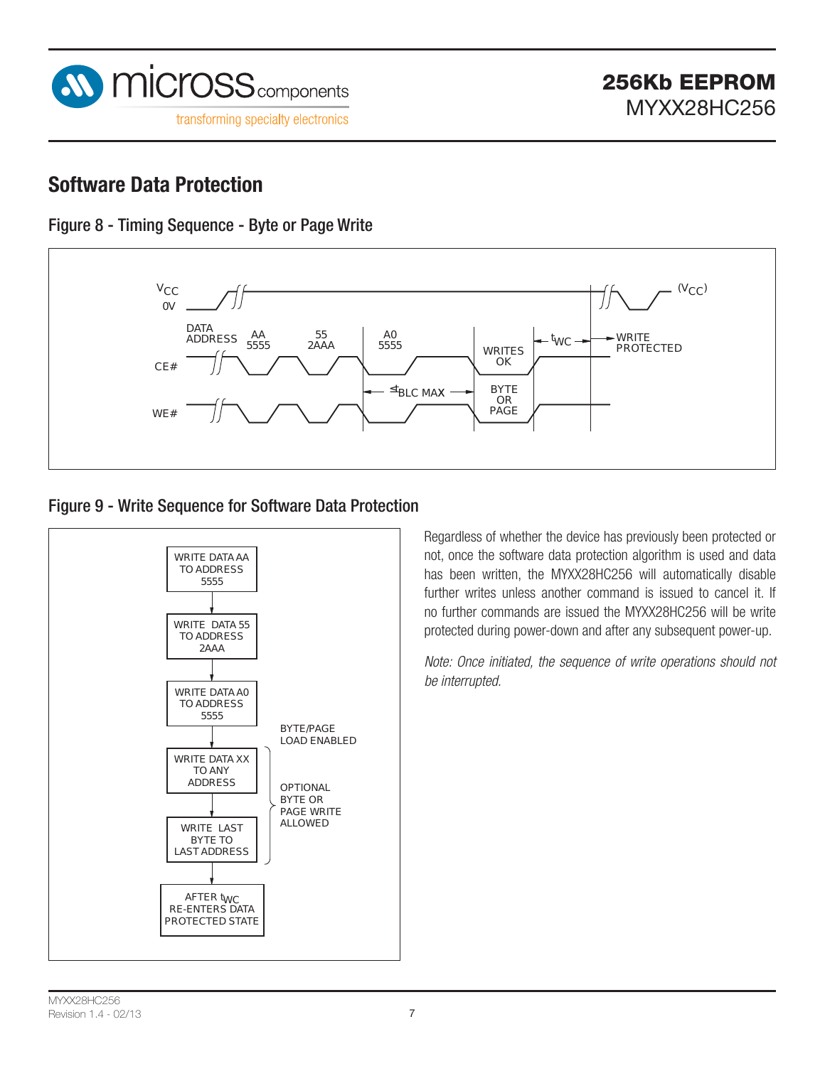

### **Software Data Protection**





#### Figure 9 - Write Sequence for Software Data Protection



Regardless of whether the device has previously been protected or not, once the software data protection algorithm is used and data has been written, the MYXX28HC256 will automatically disable further writes unless another command is issued to cancel it. If no further commands are issued the MYXX28HC256 will be write protected during power-down and after any subsequent power-up.

*Note: Once initiated, the sequence of write operations should not be interrupted.*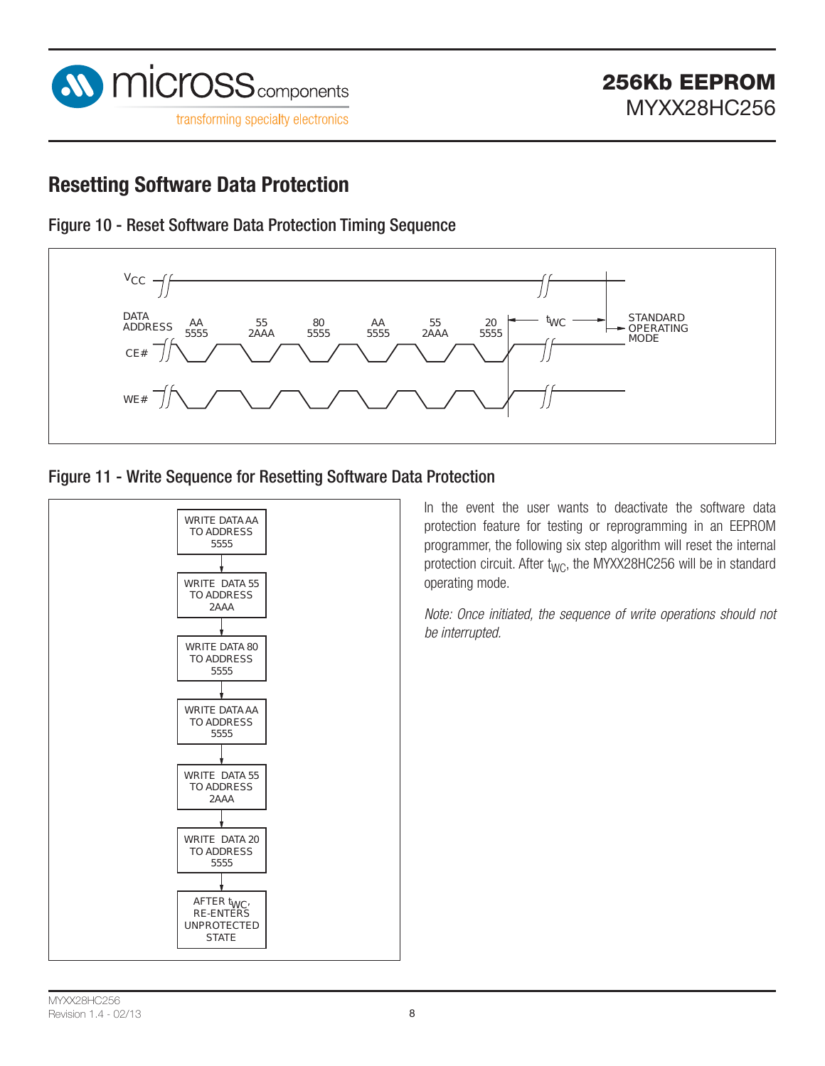

## **Resetting Software Data Protection**





#### Figure 11 - Write Sequence for Resetting Software Data Protection



In the event the user wants to deactivate the software data protection feature for testing or reprogramming in an EEPROM programmer, the following six step algorithm will reset the internal protection circuit. After t<sub>WC</sub>, the MYXX28HC256 will be in standard operating mode.

*Note: Once initiated, the sequence of write operations should not be interrupted.*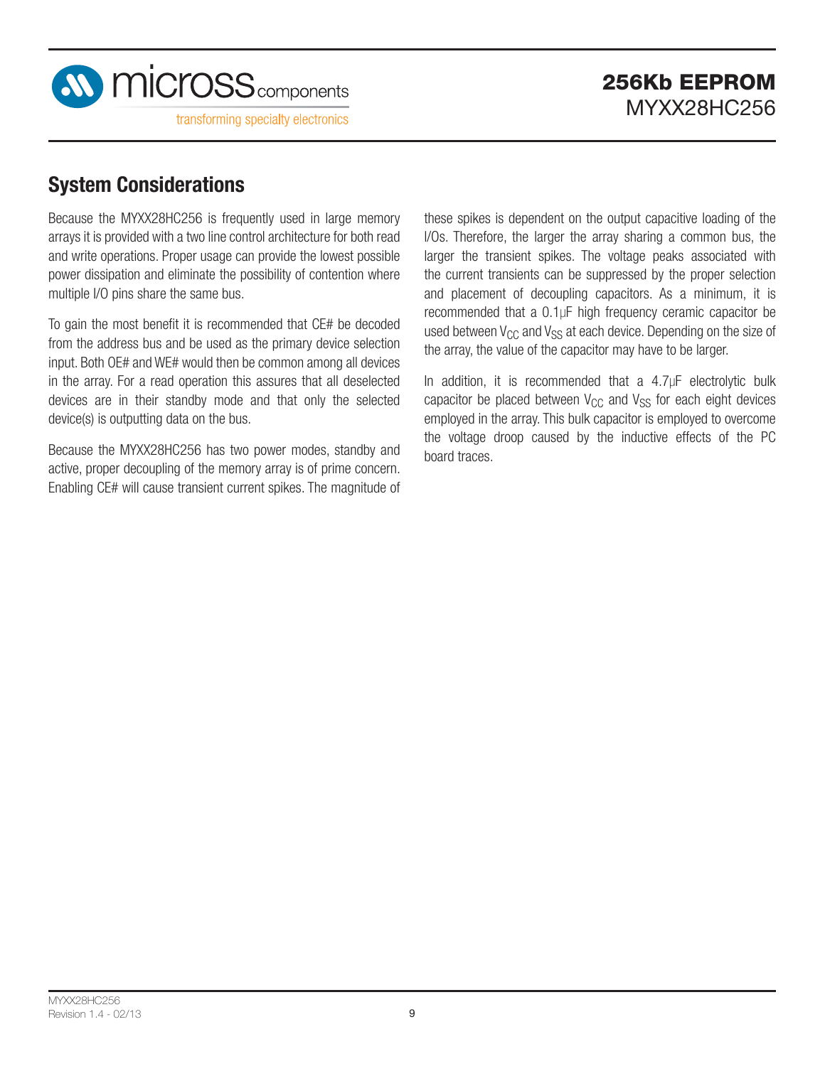

## **System Considerations**

Because the MYXX28HC256 is frequently used in large memory arrays it is provided with a two line control architecture for both read and write operations. Proper usage can provide the lowest possible power dissipation and eliminate the possibility of contention where multiple I/O pins share the same bus.

To gain the most benefit it is recommended that CE# be decoded from the address bus and be used as the primary device selection input. Both OE# and WE# would then be common among all devices in the array. For a read operation this assures that all deselected devices are in their standby mode and that only the selected device(s) is outputting data on the bus.

Because the MYXX28HC256 has two power modes, standby and active, proper decoupling of the memory array is of prime concern. Enabling CE# will cause transient current spikes. The magnitude of these spikes is dependent on the output capacitive loading of the l/Os. Therefore, the larger the array sharing a common bus, the larger the transient spikes. The voltage peaks associated with the current transients can be suppressed by the proper selection and placement of decoupling capacitors. As a minimum, it is recommended that a 0.1µF high frequency ceramic capacitor be used between  $V_{CC}$  and  $V_{SS}$  at each device. Depending on the size of the array, the value of the capacitor may have to be larger.

In addition, it is recommended that a 4.7µF electrolytic bulk capacitor be placed between  $V_{CC}$  and  $V_{SS}$  for each eight devices employed in the array. This bulk capacitor is employed to overcome the voltage droop caused by the inductive effects of the PC board traces.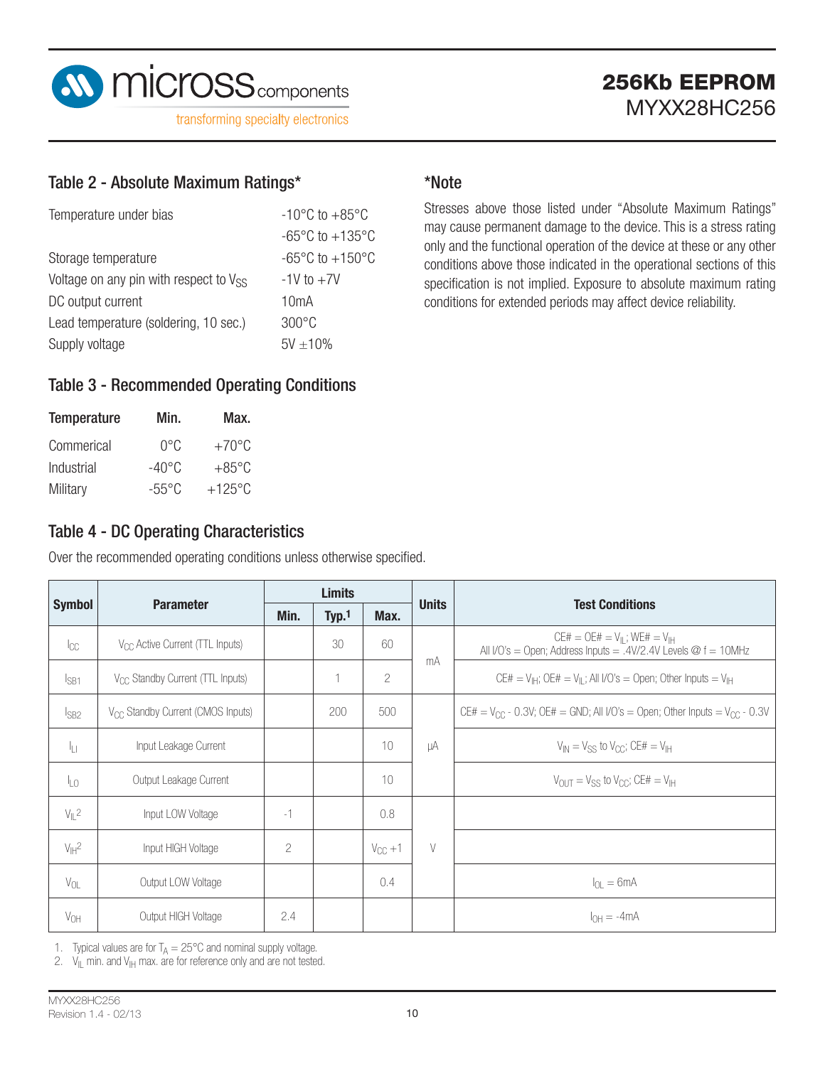

#### Table 2 - Absolute Maximum Ratings\*

| $-10^{\circ}$ C to $+85^{\circ}$ C  |  |  |  |
|-------------------------------------|--|--|--|
| $-65^{\circ}$ C to $+135^{\circ}$ C |  |  |  |
| $-65^{\circ}$ C to $+150^{\circ}$ C |  |  |  |
| $-1V$ to $+7V$                      |  |  |  |
| 10 <sub>m</sub> A                   |  |  |  |
| $300\degree C$                      |  |  |  |
| $5V + 10\%$                         |  |  |  |
|                                     |  |  |  |

#### \*Note

Stresses above those listed under "Absolute Maximum Ratings" may cause permanent damage to the device. This is a stress rating only and the functional operation of the device at these or any other conditions above those indicated in the operational sections of this specification is not implied. Exposure to absolute maximum rating conditions for extended periods may affect device reliability.

#### Table 3 - Recommended Operating Conditions

| <b>Temperature</b> | Min.            | Max.            |
|--------------------|-----------------|-----------------|
| Commerical         | U°C             | $+70^{\circ}$ C |
| Industrial         | $-40^{\circ}$ C | $+85^{\circ}$ C |
| Military           | -55°C           | $+125$ °C       |

### Table 4 - DC Operating Characteristics

Over the recommended operating conditions unless otherwise specified.

|                   |                                               | <b>Limits</b>  |       | <b>Units</b>   |        |                                                                                                                         |  |  |
|-------------------|-----------------------------------------------|----------------|-------|----------------|--------|-------------------------------------------------------------------------------------------------------------------------|--|--|
| <b>Symbol</b>     | <b>Parameter</b>                              | Min.           | Typ.1 | Max.           |        | <b>Test Conditions</b>                                                                                                  |  |  |
| $ _{CC}$          | V <sub>CC</sub> Active Current (TTL Inputs)   |                | 30    | 60             |        | $CE# = OE# = V_{\parallel}$ ; WE# = $V_{\parallel}$<br>All I/O's = Open; Address Inputs = .4V/2.4V Levels $@f = 10$ MHz |  |  |
| $I_{SB1}$         | V <sub>CC</sub> Standby Current (TTL Inputs)  |                | 1     | $\overline{c}$ | mA     | CE# = $V_{\text{H}}$ ; OE# = $V_{\parallel}$ ; All I/O's = Open; Other Inputs = $V_{\text{H}}$                          |  |  |
| $I_{SB2}$         | V <sub>CC</sub> Standby Current (CMOS Inputs) |                | 200   | 500            |        | CE# = $V_{CC}$ - 0.3V; OE# = GND; All I/O's = Open; Other Inputs = $V_{CC}$ - 0.3V                                      |  |  |
| Īц                | Input Leakage Current                         |                |       | 10             | μA     | $V_{IN} = V_{SS}$ to $V_{CC}$ ; CE# = $V_{IH}$                                                                          |  |  |
| $I_{LO}$          | Output Leakage Current                        |                |       | 10             |        | $V_{\text{OUT}} = V_{\text{SS}}$ to $V_{\text{CC}}$ ; CE# = $V_{\text{IH}}$                                             |  |  |
| $V_{\parallel}$ 2 | Input LOW Voltage                             | $-1$           |       | 0.8            |        |                                                                                                                         |  |  |
| $V_H^2$           | Input HIGH Voltage                            | $\overline{2}$ |       | $V_{CC} + 1$   | $\vee$ |                                                                                                                         |  |  |
| $V_{OL}$          | Output LOW Voltage                            |                |       | 0.4            |        | $I_{\Omega} = 6mA$                                                                                                      |  |  |
| $V_{OH}$          | Output HIGH Voltage                           | 2.4            |       |                |        | $I_{OH} = -4mA$                                                                                                         |  |  |

1. Typical values are for  $T_A = 25^{\circ}$ C and nominal supply voltage.

2.  $V_{\parallel}$  min. and  $V_{\parallel}$  max. are for reference only and are not tested.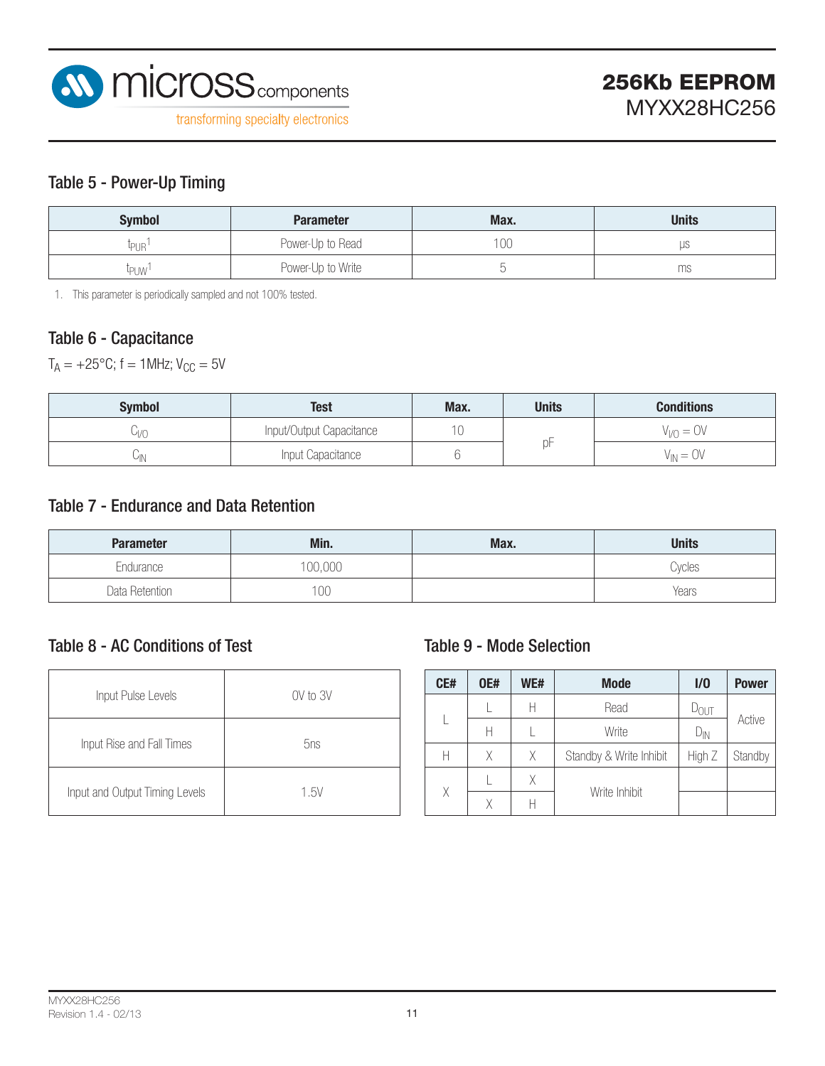

#### Table 5 - Power-Up Timing

| <b>Symbol</b>          | <b>Parameter</b>  | Max. | <b>Units</b> |
|------------------------|-------------------|------|--------------|
| ΨUR                    | Power-Up to Read  | 100  | μS           |
| <b><sup>l</sup>PUW</b> | Power-Up to Write |      | ms           |

1. This parameter is periodically sampled and not 100% tested.

#### Table 6 - Capacitance

 $T_A = +25$ °C; f = 1MHz;  $V_{CC} = 5V$ 

| <b>Symbol</b> | Test                     | Max. | <b>Units</b> | <b>Conditions</b> |  |  |
|---------------|--------------------------|------|--------------|-------------------|--|--|
| YV)           | Input/Output Capacitance | 10   |              | $V_{V} = OV$      |  |  |
| ∪ ∖           | Input Capacitance        |      |              | $V_{IN} = OV$     |  |  |

#### Table 7 - Endurance and Data Retention

| <b>Parameter</b> | Min.         | Max. | <b>Units</b> |
|------------------|--------------|------|--------------|
| Endurance        | 100,000      |      | Cycles       |
| Data Retention   | $00^{\circ}$ |      | Years        |

#### Table 8 - AC Conditions of Test

| Input Pulse Levels             | $0V$ to $3V$ |
|--------------------------------|--------------|
| Input Rise and Fall Times      | 5ns          |
| Input and Output Timing Levels | 1.5V         |

#### Table 9 - Mode Selection

| CE# | <b>OE#</b> | WE# | <b>Mode</b>             | 1/0              | <b>Power</b> |
|-----|------------|-----|-------------------------|------------------|--------------|
|     |            | Н   | Read                    | $D_{\text{OUT}}$ |              |
|     | Н          |     | Write                   | $D_{IN}$         | Active       |
| Н   | Χ          | X.  | Standby & Write Inhibit | High Z           | Standby      |
|     | Χ          |     |                         |                  |              |
| Χ   | Χ          |     | Write Inhibit           |                  |              |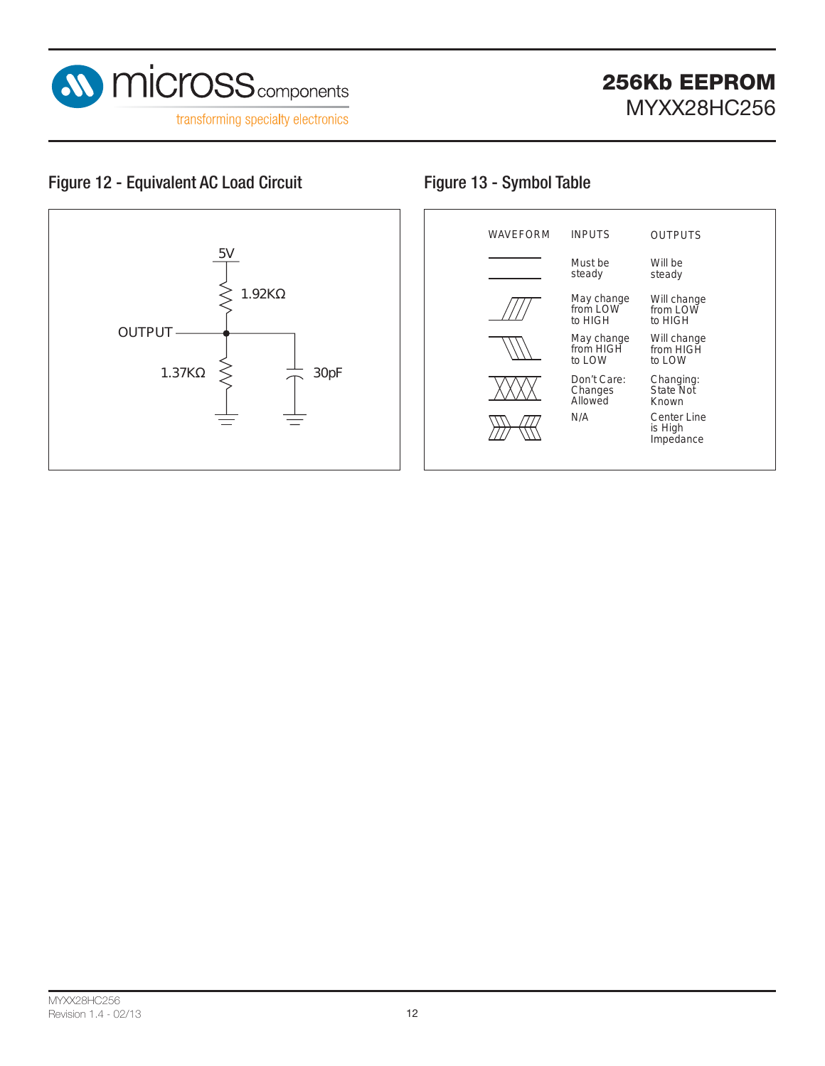

### Figure 12 - Equivalent AC Load Circuit Figure 13 - Symbol Table



| <b>WAVEFORM</b> | <b>INPUTS</b>                     | <b>OUTPUTS</b>                      |  |
|-----------------|-----------------------------------|-------------------------------------|--|
|                 | Must be<br>steady                 | Will be<br>steady                   |  |
|                 | May change<br>from LOW<br>to HIGH | Will change<br>from LOW<br>to HIGH  |  |
|                 | May change<br>from HIGH<br>to LOW | Will change<br>from HIGH<br>to LOW  |  |
|                 | Don't Care:<br>Changes<br>Allowed | Changing:<br>State Not<br>Known     |  |
|                 | N/A                               | Center Line<br>is High<br>Impedance |  |
|                 |                                   |                                     |  |

#### MYXX28HC256 Revision 1.4 - 02/13 12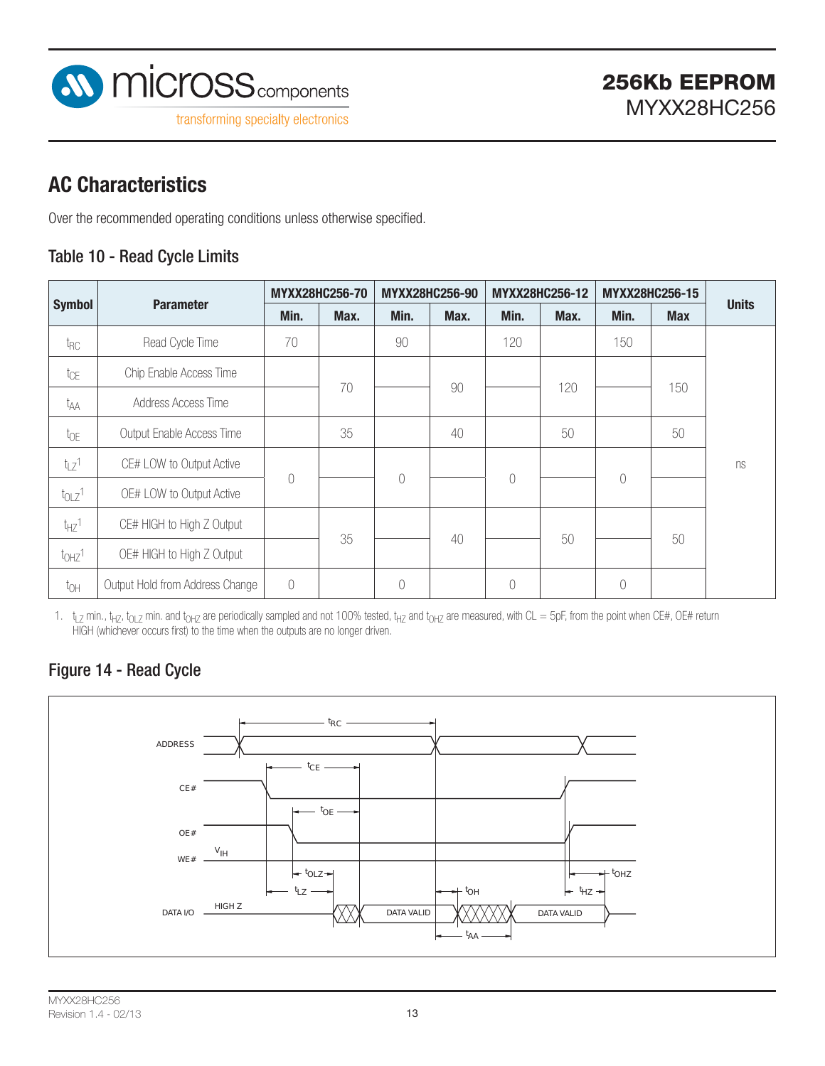

## **AC Characteristics**

Over the recommended operating conditions unless otherwise specified.

#### Table 10 - Read Cycle Limits

|                       |                                 | MYXX28HC256-70 |      |            | MYXX28HC256-90 |            | MYXX28HC256-12 |           | MYXX28HC256-15 |              |
|-----------------------|---------------------------------|----------------|------|------------|----------------|------------|----------------|-----------|----------------|--------------|
| <b>Symbol</b>         | <b>Parameter</b>                | Min.           | Max. | Min.       | Max.           | Min.       | Max.           | Min.      | <b>Max</b>     | <b>Units</b> |
| t <sub>RC</sub>       | Read Cycle Time                 | 70             |      | 90         |                | 120        |                | 150       |                |              |
| tcE                   | Chip Enable Access Time         |                |      |            |                |            |                |           |                |              |
| t <sub>AA</sub>       | Address Access Time             |                | 70   |            | 90             |            | 120            |           | 150            |              |
| $t_{OE}$              | Output Enable Access Time       |                | 35   |            | 40             |            | 50             |           | 50             |              |
| $t_{LZ}$ 1            | CE# LOW to Output Active        |                |      |            |                |            |                |           |                | ns           |
| $t_{OLZ}$ 1           | OE# LOW to Output Active        | $\bigcap$      |      | $\sqrt{a}$ |                | $\sqrt{a}$ |                | 0         |                |              |
| $t_{HZ}$ <sup>1</sup> | CE# HIGH to High Z Output       |                |      |            |                |            |                |           |                |              |
| t <sub>OHZ</sub> 1    | OE# HIGH to High Z Output       |                | 35   |            | 40             |            | 50             |           | 50             |              |
| $t_{OH}$              | Output Hold from Address Change | $\bigcap$      |      | $\sqrt{a}$ |                | 0          |                | $\bigcap$ |                |              |

1.  $t_{LZ}$  min.,  $t_{HZ}$ ,  $t_{0LZ}$  min. and  $t_{0HZ}$  are periodically sampled and not 100% tested,  $t_{HZ}$  and  $t_{0HZ}$  are measured, with CL = 5pF, from the point when CE#, OE# return HIGH (whichever occurs first) to the time when the outputs are no longer driven.

#### Figure 14 - Read Cycle

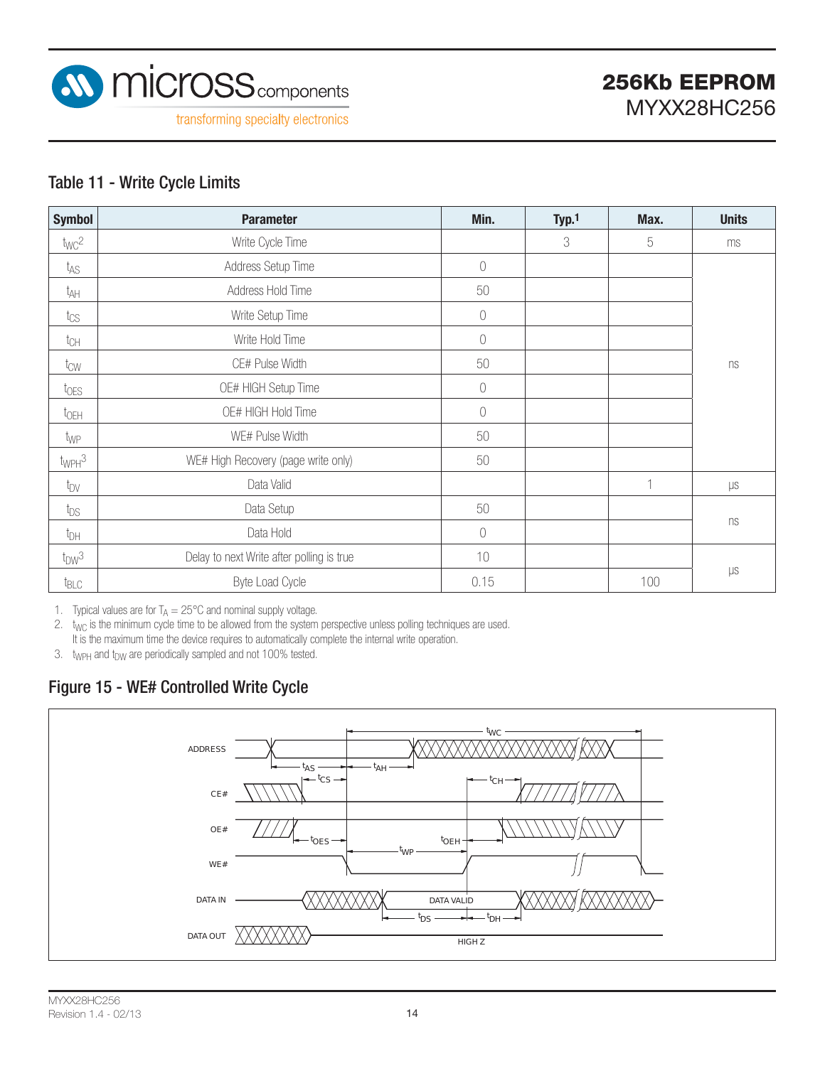

#### Table 11 - Write Cycle Limits

| <b>Symbol</b>          | <b>Parameter</b>                          | Min.       | Typ.1 | Max.         | <b>Units</b>    |
|------------------------|-------------------------------------------|------------|-------|--------------|-----------------|
| twc <sup>2</sup>       | Write Cycle Time                          |            | 3     | 5            | ms              |
| t <sub>AS</sub>        | Address Setup Time                        | $\bigcirc$ |       |              |                 |
| t <sub>AH</sub>        | Address Hold Time                         | 50         |       |              |                 |
| $t_{\rm CS}$           | Write Setup Time                          | $\bigcirc$ |       |              |                 |
| $t_{CH}$               | Write Hold Time                           | 0          |       |              |                 |
| t <sub>CW</sub>        | CE# Pulse Width                           | 50         |       |              | ns              |
| toes                   | OE# HIGH Setup Time                       | $\bigcirc$ |       |              |                 |
| $t_{\text{OEH}}$       | OE# HIGH Hold Time                        | $\sqrt{a}$ |       |              |                 |
| t <sub>WP</sub>        | WE# Pulse Width                           | 50         |       |              |                 |
| $t_{WPH}$ <sup>3</sup> | WE# High Recovery (page write only)       | 50         |       |              |                 |
| t <sub>DV</sub>        | Data Valid                                |            |       | $\mathbf{1}$ | $\upmu\text{s}$ |
| $t_{DS}$               | Data Setup                                | 50         |       |              |                 |
| $t_{DH}$               | Data Hold                                 | $\bigcirc$ |       |              | ns              |
| $t_{DW}$ <sup>3</sup>  | Delay to next Write after polling is true | 10         |       |              |                 |
| t <sub>BLC</sub>       | Byte Load Cycle                           | 0.15       |       | 100          | $\upmu\text{s}$ |

1. Typical values are for  $T_A = 25^{\circ}$ C and nominal supply voltage.

2.  $t_{WC}$  is the minimum cycle time to be allowed from the system perspective unless polling techniques are used. It is the maximum time the device requires to automatically complete the internal write operation.

3. twpH and tpw are periodically sampled and not 100% tested.

### Figure 15 - WE# Controlled Write Cycle

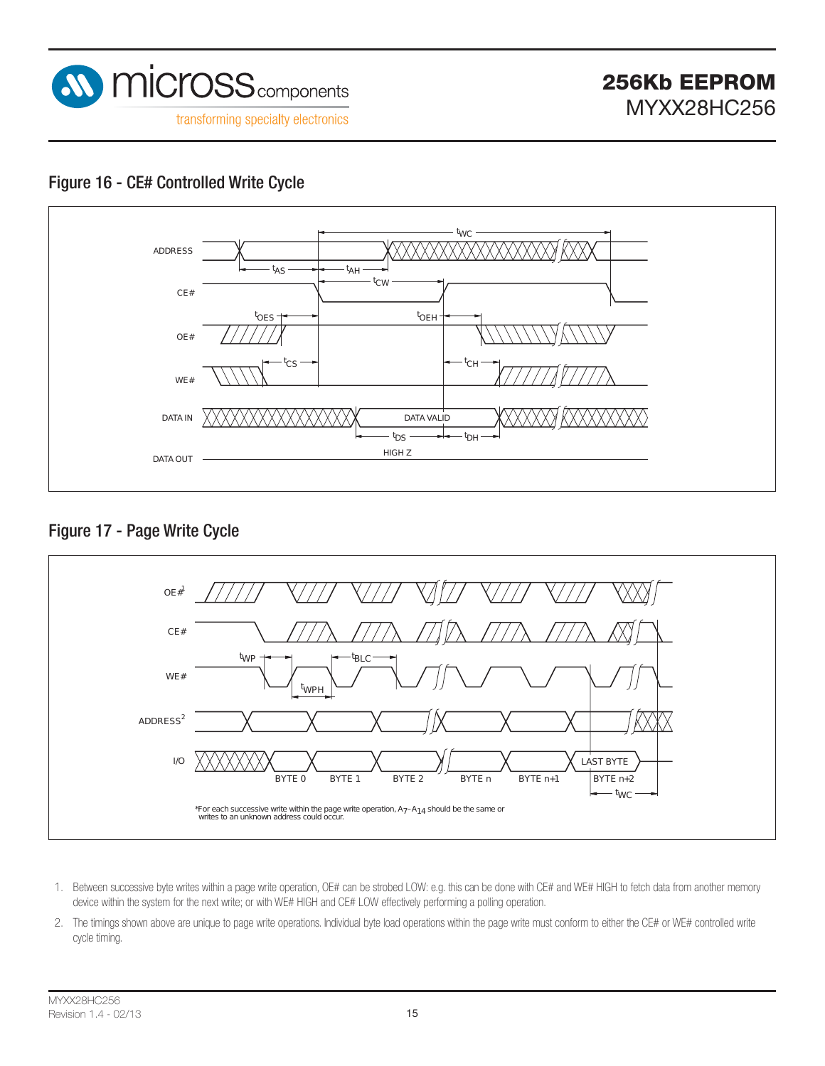

#### Figure 16 - CE# Controlled Write Cycle



Figure 17 - Page Write Cycle



- 1. Between successive byte writes within a page write operation, OE# can be strobed LOW: e.g. this can be done with CE# and WE# HIGH to fetch data from another memory device within the system for the next write; or with WE# HIGH and CE# LOW effectively performing a polling operation.
- 2. The timings shown above are unique to page write operations. Individual byte load operations within the page write must conform to either the CE# or WE# controlled write cycle timing.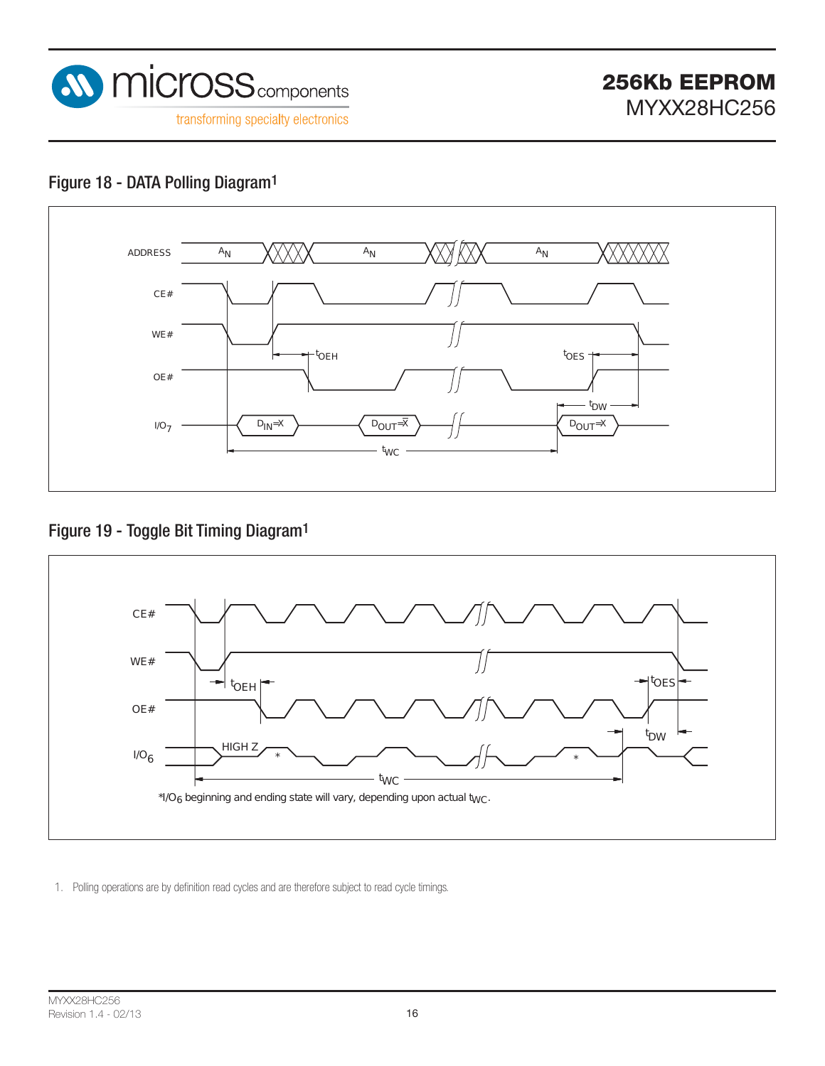

### Figure 18 - DATA Polling Diagram1



### Figure 19 - Toggle Bit Timing Diagram1



1. Polling operations are by definition read cycles and are therefore subject to read cycle timings.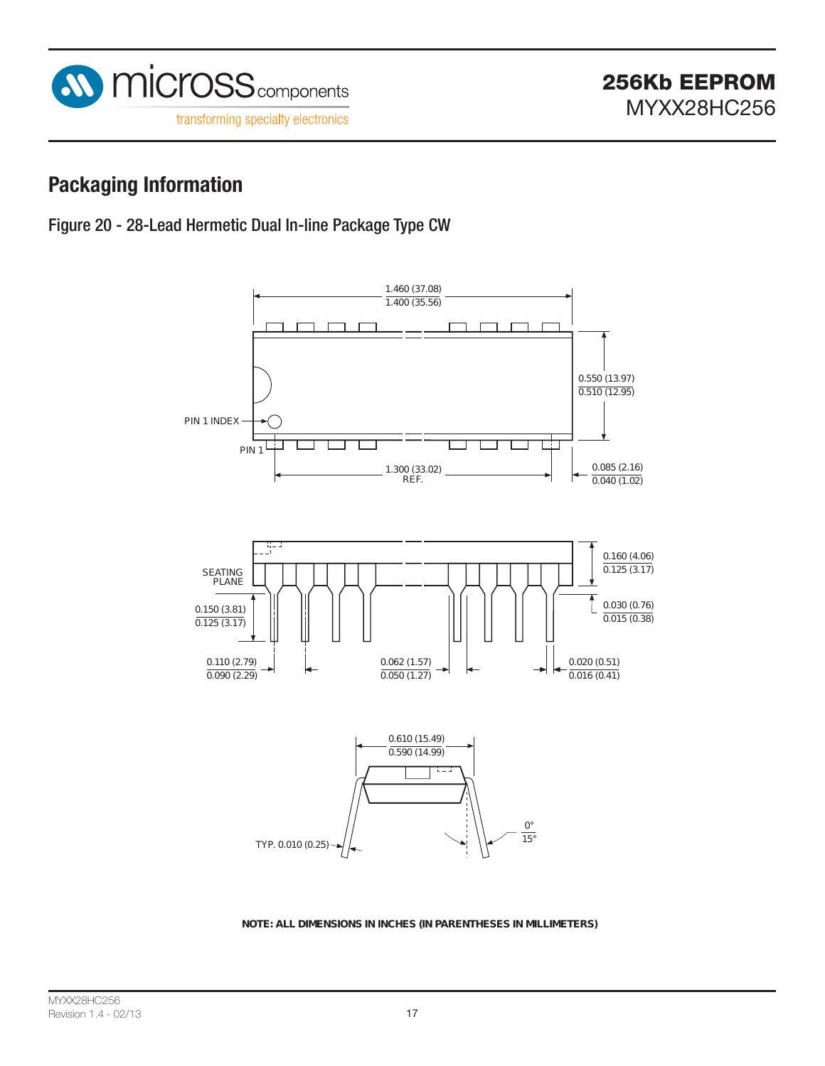

### **Packaging Information**





**NOTE: ALL DIMENSIONS IN INCHES (IN PARENTHESES IN MILLIMETERS)**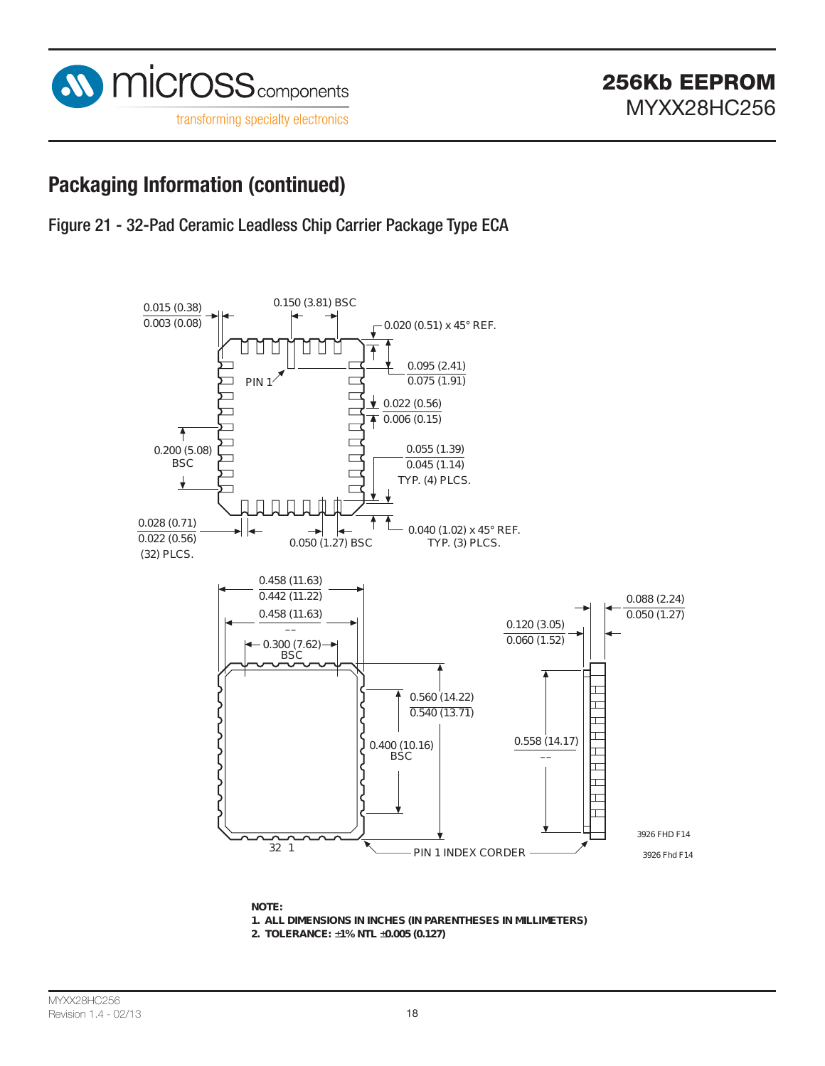

Figure 21 - 32-Pad Ceramic Leadless Chip Carrier Package Type ECA



**NOTE:**

**1 . ALL DIMENSIONS IN INCHES (IN PARENTHESES IN MILLIMETERS)**

**2 . TOLERANCE:** ±**1 % NTL** ±**0 . 0 0 5 (0 . 1 2 7 )**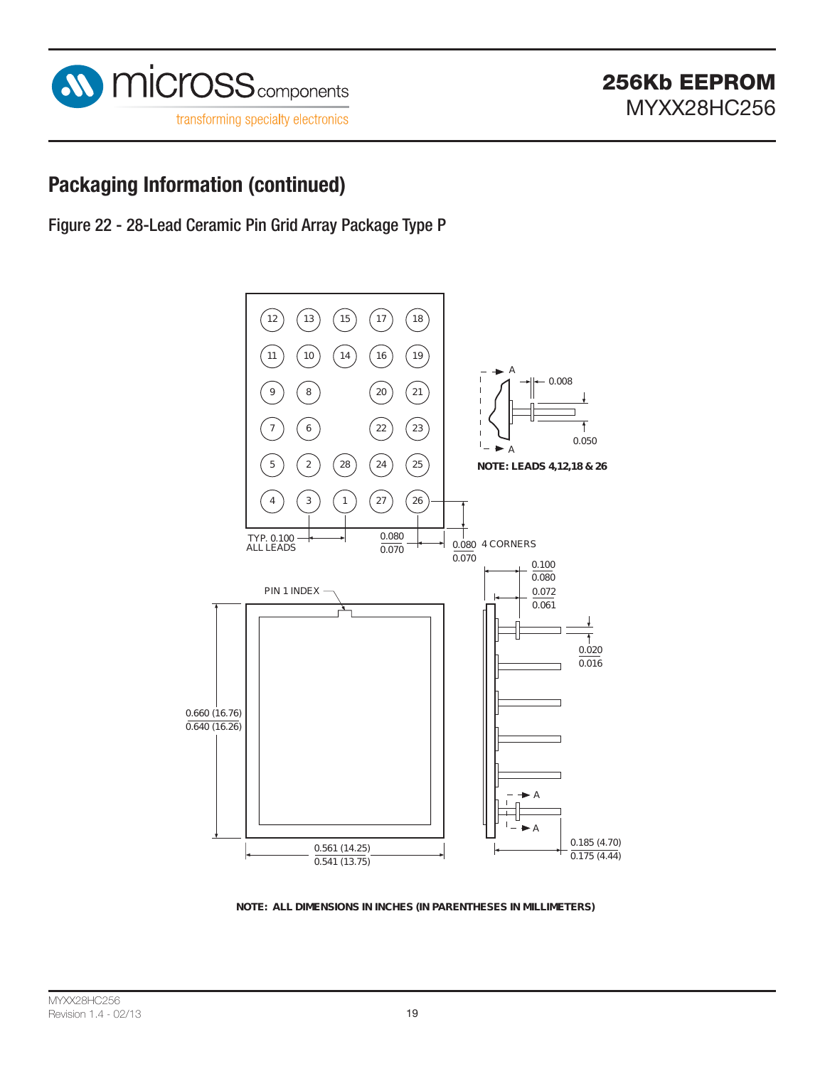

Figure 22 - 28-Lead Ceramic Pin Grid Array Package Type P



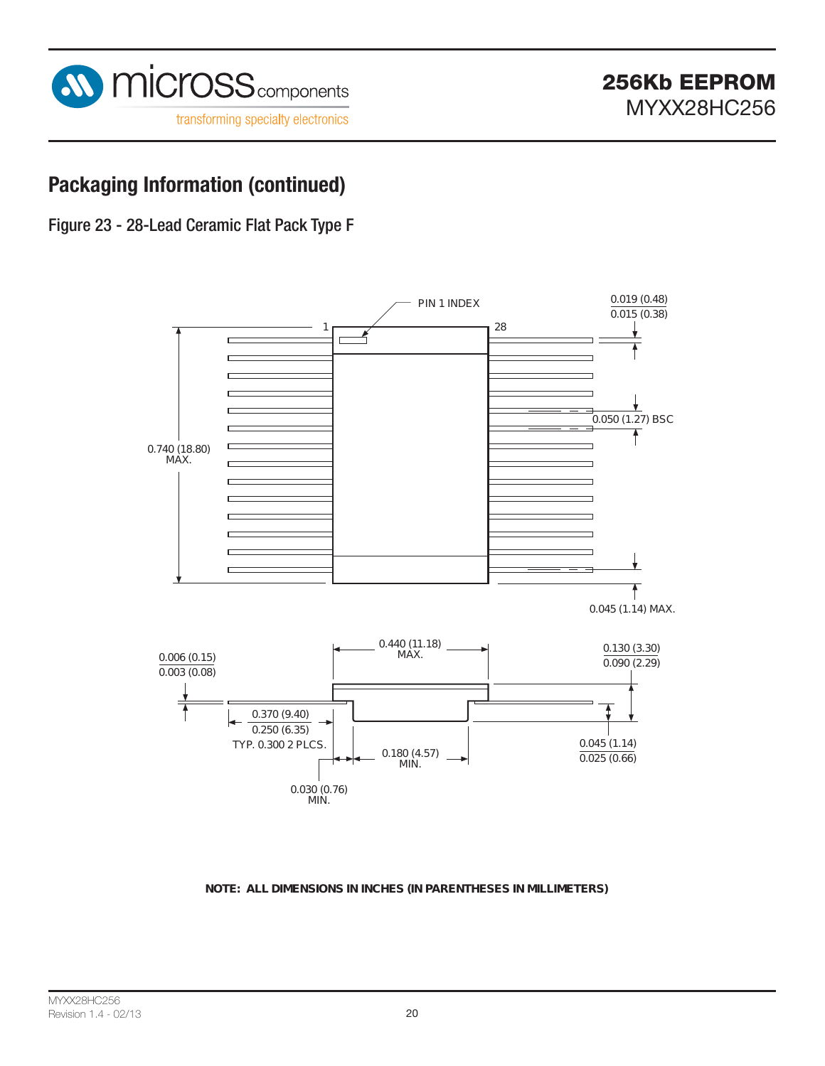

Figure 23 - 28-Lead Ceramic Flat Pack Type F



#### **NOTE: ALL DIMENSIONS IN INCHES (IN PARENTHESES IN MILLIMETERS)**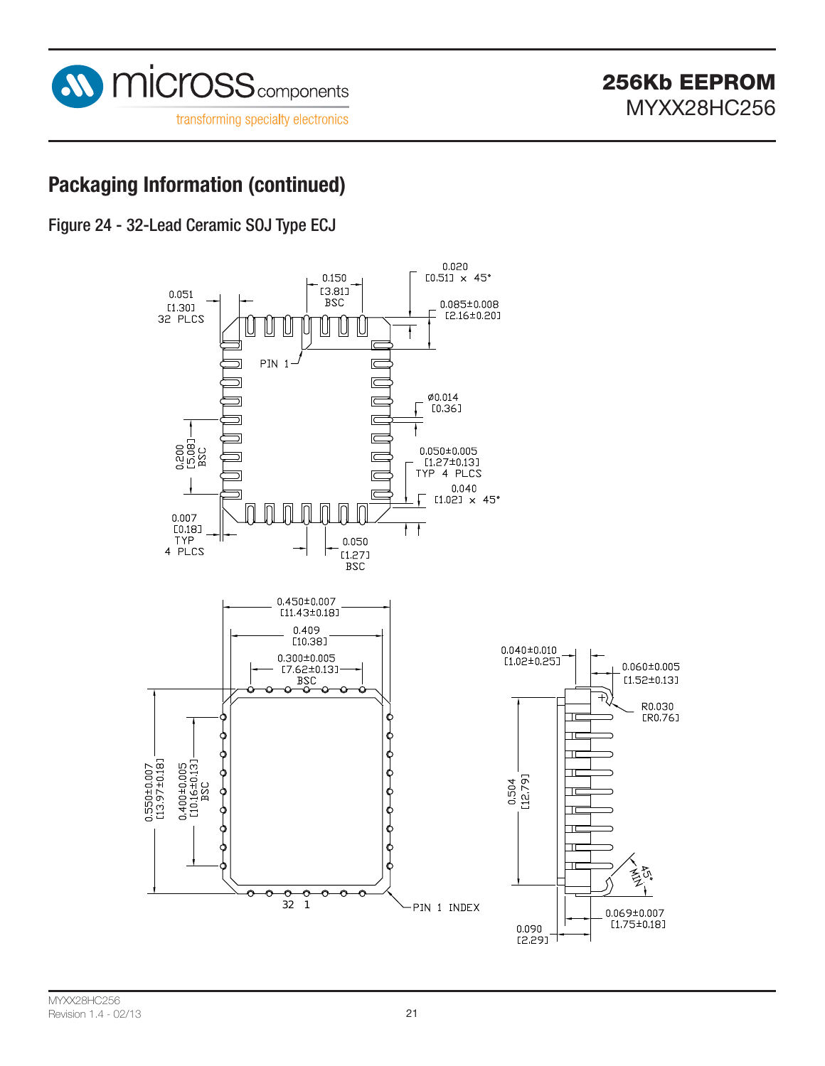

Figure 24 - 32-Lead Ceramic SOJ Type ECJ

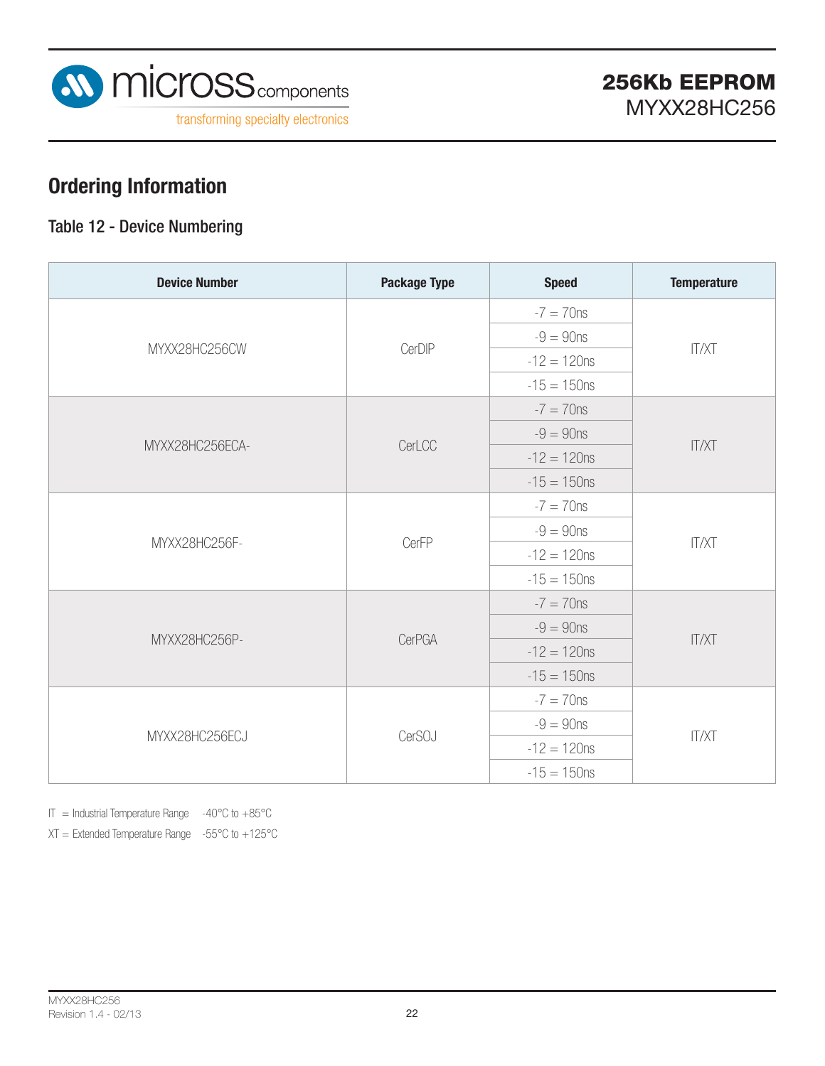

## **Ordering Information**

### Table 12 - Device Numbering

| <b>Device Number</b> | <b>Package Type</b> | <b>Speed</b>   | <b>Temperature</b> |  |
|----------------------|---------------------|----------------|--------------------|--|
|                      | CerDIP              | $-7 = 70$ ns   | <b>IT/XT</b>       |  |
|                      |                     | $-9 = 90$ ns   |                    |  |
| MYXX28HC256CW        |                     | $-12 = 120$ ns |                    |  |
|                      |                     | $-15 = 150$ ns |                    |  |
|                      |                     | $-7 = 70$ ns   | <b>IT/XT</b>       |  |
|                      | CerLCC              | $-9 = 90$ ns   |                    |  |
| MYXX28HC256ECA-      |                     | $-12 = 120$ ns |                    |  |
|                      |                     | $-15 = 150$ ns |                    |  |
|                      | CerFP               | $-7 = 70$ ns   | <b>IT/XT</b>       |  |
|                      |                     | $-9 = 90$ ns   |                    |  |
| MYXX28HC256F-        |                     | $-12 = 120$ ns |                    |  |
|                      |                     | $-15 = 150$ ns |                    |  |
|                      |                     | $-7 = 70$ ns   | <b>IT/XT</b>       |  |
|                      | <b>CerPGA</b>       | $-9 = 90$ ns   |                    |  |
| MYXX28HC256P-        |                     | $-12 = 120$ ns |                    |  |
|                      |                     | $-15 = 150$ ns |                    |  |
|                      | CerSOJ              | $-7 = 70$ ns   | <b>IT/XT</b>       |  |
|                      |                     | $-9 = 90$ ns   |                    |  |
| MYXX28HC256ECJ       |                     | $-12 = 120$ ns |                    |  |
|                      |                     | $-15 = 150$ ns |                    |  |

IT = Industrial Temperature Range  $-40^{\circ}$ C to  $+85^{\circ}$ C

 $XT =$  Extended Temperature Range  $-55^{\circ}$ C to  $+125^{\circ}$ C